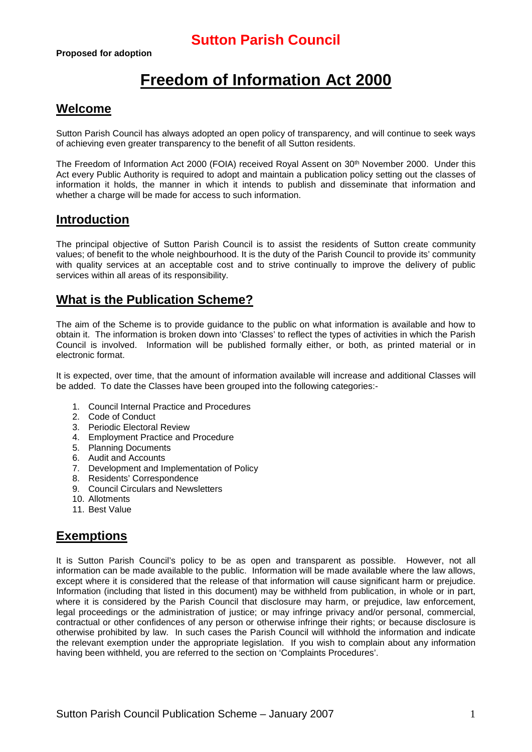# **Freedom of Information Act 2000**

### **Welcome**

Sutton Parish Council has always adopted an open policy of transparency, and will continue to seek ways of achieving even greater transparency to the benefit of all Sutton residents.

The Freedom of Information Act 2000 (FOIA) received Royal Assent on 30<sup>th</sup> November 2000. Under this Act every Public Authority is required to adopt and maintain a publication policy setting out the classes of information it holds, the manner in which it intends to publish and disseminate that information and whether a charge will be made for access to such information.

### **Introduction**

The principal objective of Sutton Parish Council is to assist the residents of Sutton create community values; of benefit to the whole neighbourhood. It is the duty of the Parish Council to provide its' community with quality services at an acceptable cost and to strive continually to improve the delivery of public services within all areas of its responsibility.

### **What is the Publication Scheme?**

The aim of the Scheme is to provide guidance to the public on what information is available and how to obtain it. The information is broken down into 'Classes' to reflect the types of activities in which the Parish Council is involved. Information will be published formally either, or both, as printed material or in electronic format.

It is expected, over time, that the amount of information available will increase and additional Classes will be added. To date the Classes have been grouped into the following categories:-

- 1. Council Internal Practice and Procedures
- 2. Code of Conduct
- 3. Periodic Electoral Review
- 4. Employment Practice and Procedure
- 5. Planning Documents
- 6. Audit and Accounts
- 7. Development and Implementation of Policy
- 8. Residents' Correspondence
- 9. Council Circulars and Newsletters
- 10. Allotments
- 11. Best Value

## **Exemptions**

It is Sutton Parish Council's policy to be as open and transparent as possible. However, not all information can be made available to the public. Information will be made available where the law allows, except where it is considered that the release of that information will cause significant harm or prejudice. Information (including that listed in this document) may be withheld from publication, in whole or in part, where it is considered by the Parish Council that disclosure may harm, or prejudice, law enforcement, legal proceedings or the administration of justice; or may infringe privacy and/or personal, commercial, contractual or other confidences of any person or otherwise infringe their rights; or because disclosure is otherwise prohibited by law. In such cases the Parish Council will withhold the information and indicate the relevant exemption under the appropriate legislation. If you wish to complain about any information having been withheld, you are referred to the section on 'Complaints Procedures'.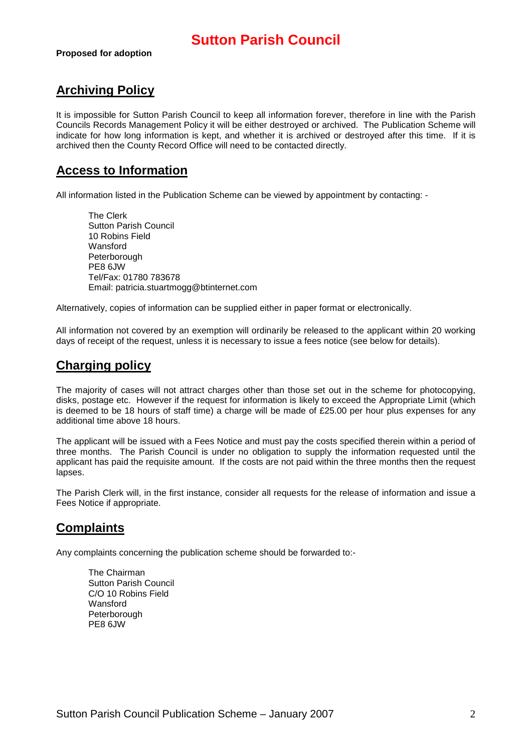## **Archiving Policy**

It is impossible for Sutton Parish Council to keep all information forever, therefore in line with the Parish Councils Records Management Policy it will be either destroyed or archived. The Publication Scheme will indicate for how long information is kept, and whether it is archived or destroyed after this time. If it is archived then the County Record Office will need to be contacted directly.

### **Access to Information**

All information listed in the Publication Scheme can be viewed by appointment by contacting: -

The Clerk Sutton Parish Council 10 Robins Field Wansford Peterborough PE8 6JW Tel/Fax: 01780 783678 Email: patricia.stuartmogg@btinternet.com

Alternatively, copies of information can be supplied either in paper format or electronically.

All information not covered by an exemption will ordinarily be released to the applicant within 20 working days of receipt of the request, unless it is necessary to issue a fees notice (see below for details).

### **Charging policy**

The majority of cases will not attract charges other than those set out in the scheme for photocopying, disks, postage etc. However if the request for information is likely to exceed the Appropriate Limit (which is deemed to be 18 hours of staff time) a charge will be made of £25.00 per hour plus expenses for any additional time above 18 hours.

The applicant will be issued with a Fees Notice and must pay the costs specified therein within a period of three months. The Parish Council is under no obligation to supply the information requested until the applicant has paid the requisite amount. If the costs are not paid within the three months then the request lapses.

The Parish Clerk will, in the first instance, consider all requests for the release of information and issue a Fees Notice if appropriate.

## **Complaints**

Any complaints concerning the publication scheme should be forwarded to:-

The Chairman Sutton Parish Council C/O 10 Robins Field **Wansford** Peterborough PE8 6JW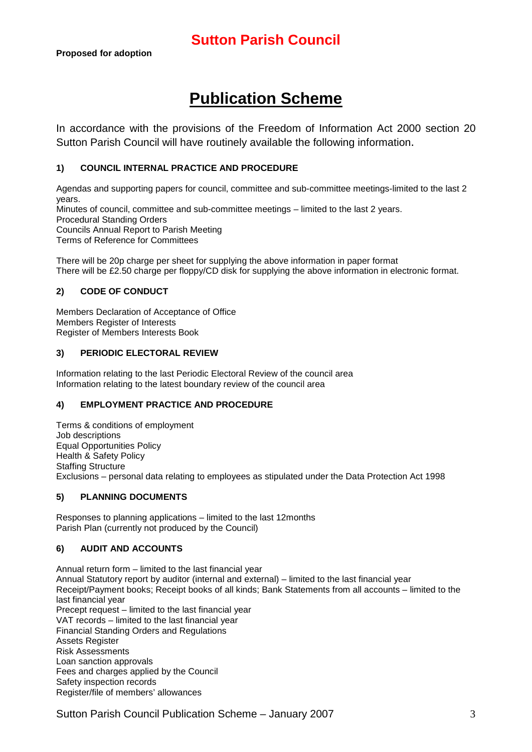## **Publication Scheme**

In accordance with the provisions of the Freedom of Information Act 2000 section 20 Sutton Parish Council will have routinely available the following information.

#### **1) COUNCIL INTERNAL PRACTICE AND PROCEDURE**

Agendas and supporting papers for council, committee and sub-committee meetings-limited to the last 2 years. Minutes of council, committee and sub-committee meetings – limited to the last 2 years. Procedural Standing Orders Councils Annual Report to Parish Meeting Terms of Reference for Committees

There will be 20p charge per sheet for supplying the above information in paper format There will be £2.50 charge per floppy/CD disk for supplying the above information in electronic format.

#### **2) CODE OF CONDUCT**

Members Declaration of Acceptance of Office Members Register of Interests Register of Members Interests Book

#### **3) PERIODIC ELECTORAL REVIEW**

Information relating to the last Periodic Electoral Review of the council area Information relating to the latest boundary review of the council area

#### **4) EMPLOYMENT PRACTICE AND PROCEDURE**

Terms & conditions of employment Job descriptions Equal Opportunities Policy Health & Safety Policy Staffing Structure Exclusions – personal data relating to employees as stipulated under the Data Protection Act 1998

#### **5) PLANNING DOCUMENTS**

Responses to planning applications – limited to the last 12months Parish Plan (currently not produced by the Council)

#### **6) AUDIT AND ACCOUNTS**

Annual return form – limited to the last financial year Annual Statutory report by auditor (internal and external) – limited to the last financial year Receipt/Payment books; Receipt books of all kinds; Bank Statements from all accounts – limited to the last financial year Precept request – limited to the last financial year VAT records – limited to the last financial year Financial Standing Orders and Regulations Assets Register Risk Assessments Loan sanction approvals Fees and charges applied by the Council Safety inspection records Register/file of members' allowances

Sutton Parish Council Publication Scheme – January 2007 3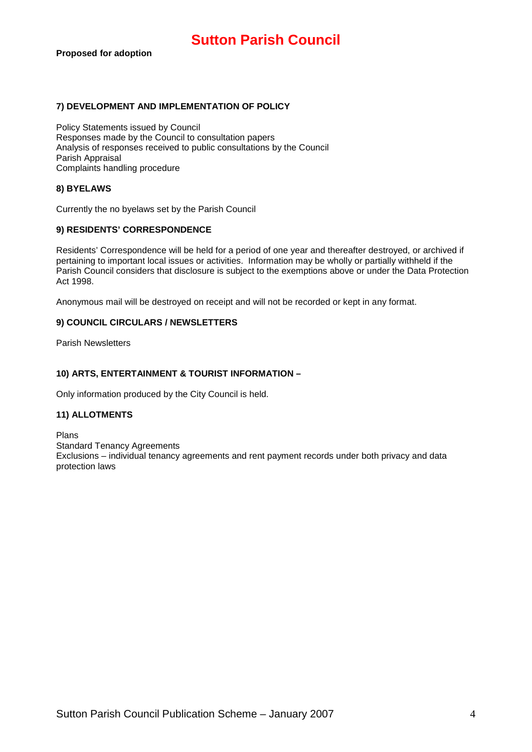#### **7) DEVELOPMENT AND IMPLEMENTATION OF POLICY**

Policy Statements issued by Council Responses made by the Council to consultation papers Analysis of responses received to public consultations by the Council Parish Appraisal Complaints handling procedure

#### **8) BYELAWS**

Currently the no byelaws set by the Parish Council

#### **9) RESIDENTS' CORRESPONDENCE**

Residents' Correspondence will be held for a period of one year and thereafter destroyed, or archived if pertaining to important local issues or activities. Information may be wholly or partially withheld if the Parish Council considers that disclosure is subject to the exemptions above or under the Data Protection Act 1998.

Anonymous mail will be destroyed on receipt and will not be recorded or kept in any format.

#### **9) COUNCIL CIRCULARS / NEWSLETTERS**

Parish Newsletters

#### **10) ARTS, ENTERTAINMENT & TOURIST INFORMATION –**

Only information produced by the City Council is held.

#### **11) ALLOTMENTS**

Plans Standard Tenancy Agreements Exclusions – individual tenancy agreements and rent payment records under both privacy and data protection laws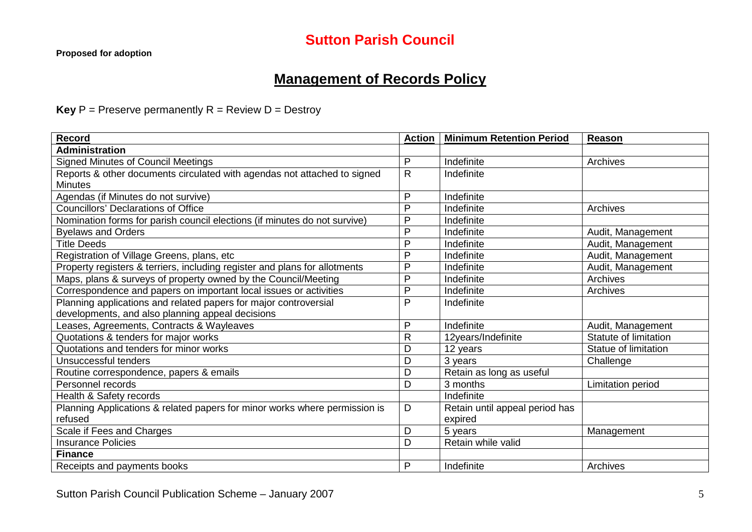## **Management of Records Policy**

**Key**  $P =$  Preserve permanently  $R =$  Review  $D =$  Destroy

| <b>Record</b>                                                              | <b>Action</b> | <b>Minimum Retention Period</b> | Reason                |
|----------------------------------------------------------------------------|---------------|---------------------------------|-----------------------|
| <b>Administration</b>                                                      |               |                                 |                       |
| <b>Signed Minutes of Council Meetings</b>                                  | P             | Indefinite                      | Archives              |
| Reports & other documents circulated with agendas not attached to signed   | $\mathsf{R}$  | Indefinite                      |                       |
| <b>Minutes</b>                                                             |               |                                 |                       |
| Agendas (if Minutes do not survive)                                        | P             | Indefinite                      |                       |
| <b>Councillors' Declarations of Office</b>                                 | P             | Indefinite                      | Archives              |
| Nomination forms for parish council elections (if minutes do not survive)  | P             | Indefinite                      |                       |
| <b>Byelaws and Orders</b>                                                  | P             | Indefinite                      | Audit, Management     |
| <b>Title Deeds</b>                                                         | $\mathsf{P}$  | Indefinite                      | Audit, Management     |
| Registration of Village Greens, plans, etc                                 | P             | Indefinite                      | Audit, Management     |
| Property registers & terriers, including register and plans for allotments | $\mathsf{P}$  | Indefinite                      | Audit, Management     |
| Maps, plans & surveys of property owned by the Council/Meeting             | $\mathsf{P}$  | Indefinite                      | Archives              |
| Correspondence and papers on important local issues or activities          | P             | Indefinite                      | Archives              |
| Planning applications and related papers for major controversial           | P             | Indefinite                      |                       |
| developments, and also planning appeal decisions                           |               |                                 |                       |
| Leases, Agreements, Contracts & Wayleaves                                  | $\mathsf{P}$  | Indefinite                      | Audit, Management     |
| Quotations & tenders for major works                                       | $\mathsf{R}$  | 12years/Indefinite              | Statute of limitation |
| Quotations and tenders for minor works                                     | D             | 12 years                        | Statue of limitation  |
| Unsuccessful tenders                                                       | D             | 3 years                         | Challenge             |
| Routine correspondence, papers & emails                                    | D             | Retain as long as useful        |                       |
| Personnel records                                                          | D             | 3 months                        | Limitation period     |
| Health & Safety records                                                    |               | Indefinite                      |                       |
| Planning Applications & related papers for minor works where permission is | D             | Retain until appeal period has  |                       |
| refused                                                                    |               | expired                         |                       |
| Scale if Fees and Charges                                                  | D             | 5 years                         | Management            |
| <b>Insurance Policies</b>                                                  | D             | Retain while valid              |                       |
| <b>Finance</b>                                                             |               |                                 |                       |
| Receipts and payments books                                                | P             | Indefinite                      | Archives              |